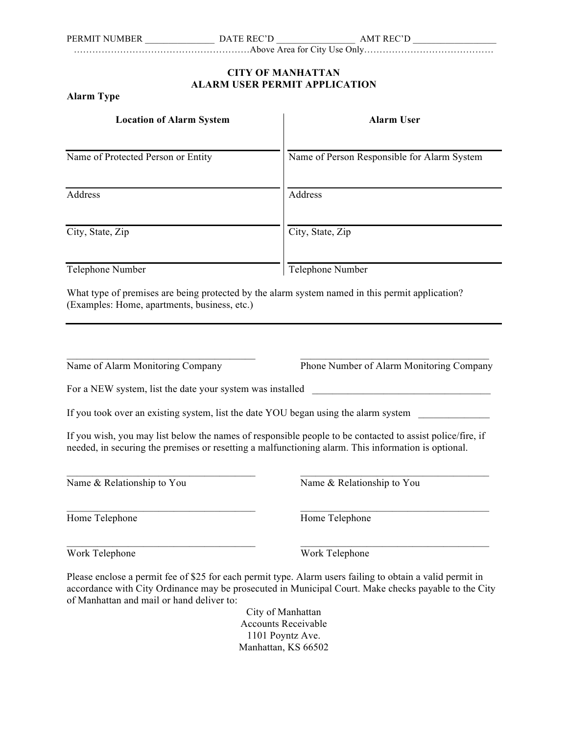…………………………………………………Above Area for City Use Only……………………………………

## **CITY OF MANHATTAN ALARM USER PERMIT APPLICATION**

## **Alarm Type**

| <b>Location of Alarm System</b>                                                     | <b>Alarm User</b>                                                                                                                                                                                                                                                    |
|-------------------------------------------------------------------------------------|----------------------------------------------------------------------------------------------------------------------------------------------------------------------------------------------------------------------------------------------------------------------|
| Name of Protected Person or Entity                                                  | Name of Person Responsible for Alarm System                                                                                                                                                                                                                          |
| Address                                                                             | Address                                                                                                                                                                                                                                                              |
| City, State, Zip                                                                    | City, State, Zip                                                                                                                                                                                                                                                     |
| Telephone Number                                                                    | Telephone Number                                                                                                                                                                                                                                                     |
| (Examples: Home, apartments, business, etc.)                                        | What type of premises are being protected by the alarm system named in this permit application?                                                                                                                                                                      |
|                                                                                     |                                                                                                                                                                                                                                                                      |
| Name of Alarm Monitoring Company                                                    | Phone Number of Alarm Monitoring Company                                                                                                                                                                                                                             |
| For a NEW system, list the date your system was installed                           | $\mathcal{L}(\mathcal{L}^{\mathcal{L}})$ and $\mathcal{L}^{\mathcal{L}}$ are the set of the set of $\mathcal{L}^{\mathcal{L}}$                                                                                                                                       |
| If you took over an existing system, list the date YOU began using the alarm system |                                                                                                                                                                                                                                                                      |
|                                                                                     | If you wish, you may list below the names of responsible people to be contacted to assist police/fire, if<br>needed, in securing the premises or resetting a malfunctioning alarm. This information is optional.                                                     |
| Name & Relationship to You                                                          | Name & Relationship to You                                                                                                                                                                                                                                           |
| Home Telephone                                                                      | Home Telephone                                                                                                                                                                                                                                                       |
| Work Telephone                                                                      | Work Telephone                                                                                                                                                                                                                                                       |
| of Manhattan and mail or hand deliver to:                                           | Please enclose a permit fee of \$25 for each permit type. Alarm users failing to obtain a valid permit in<br>accordance with City Ordinance may be prosecuted in Municipal Court. Make checks payable to the City<br>City of Manhattan<br><b>Accounts Receivable</b> |
|                                                                                     | 1101 Poyntz Ave.                                                                                                                                                                                                                                                     |

Manhattan, KS 66502